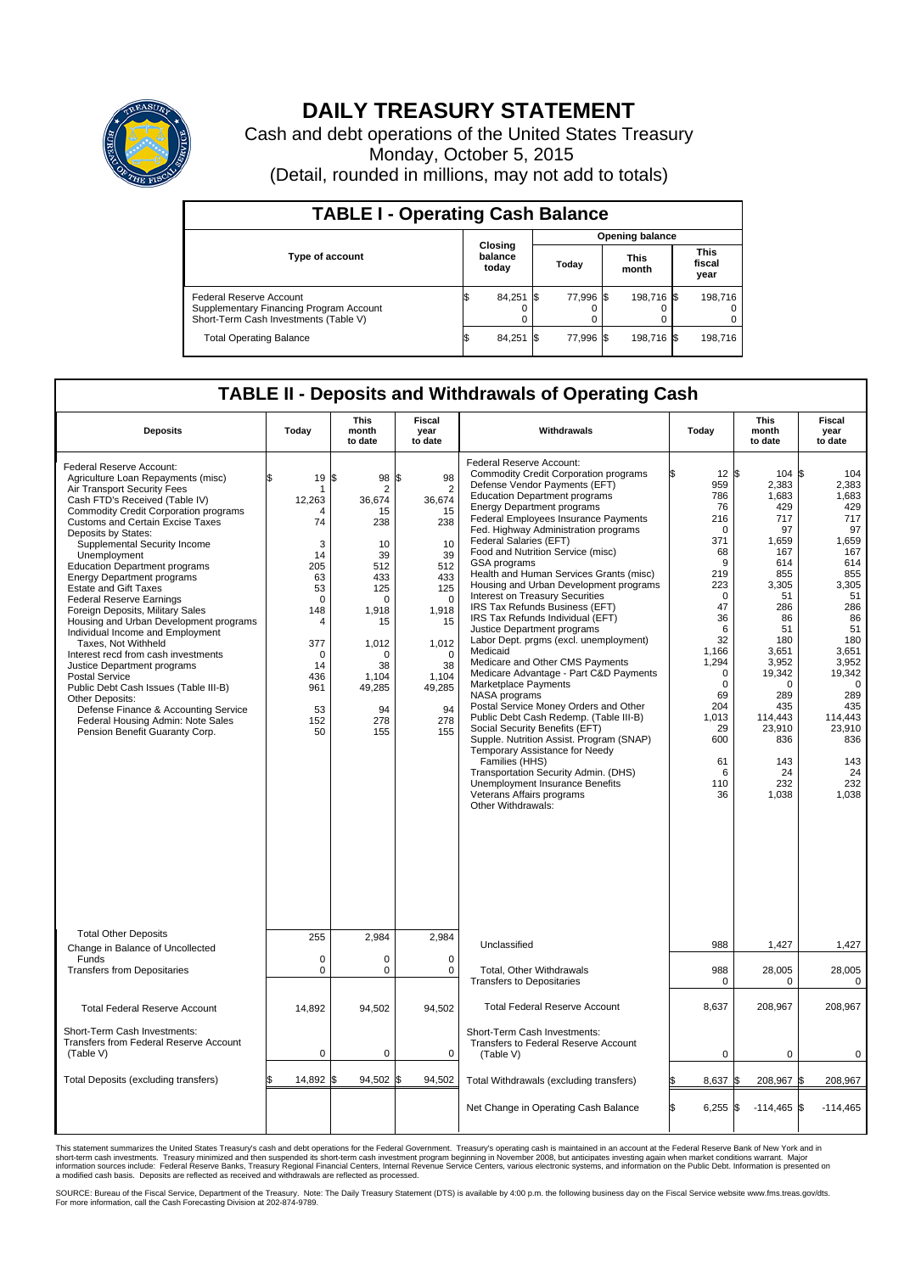

## **DAILY TREASURY STATEMENT**

Cash and debt operations of the United States Treasury Monday, October 5, 2015 (Detail, rounded in millions, may not add to totals)

| <b>TABLE I - Operating Cash Balance</b>                                                                     |  |                             |      |                        |  |                      |  |                               |  |  |  |
|-------------------------------------------------------------------------------------------------------------|--|-----------------------------|------|------------------------|--|----------------------|--|-------------------------------|--|--|--|
|                                                                                                             |  |                             |      | <b>Opening balance</b> |  |                      |  |                               |  |  |  |
| <b>Type of account</b>                                                                                      |  | Closing<br>balance<br>today |      | Today                  |  | <b>This</b><br>month |  | <b>This</b><br>fiscal<br>year |  |  |  |
| Federal Reserve Account<br>Supplementary Financing Program Account<br>Short-Term Cash Investments (Table V) |  | 84,251 \$                   |      | 77.996 \$              |  | 198,716 \$           |  | 198.716                       |  |  |  |
| <b>Total Operating Balance</b>                                                                              |  | 84,251                      | - IS | 77.996 \$              |  | 198,716 \$           |  | 198,716                       |  |  |  |

## **TABLE II - Deposits and Withdrawals of Operating Cash**

| <b>Deposits</b>                                                                                                                                                                                                                                                                                                                                                                                                                                                                                                                                                                                                                                                                                                                                                                                                                                                      | Today                                                                                                                                          | <b>This</b><br>month<br>to date                                                                                                                                                     | <b>Fiscal</b><br>year<br>to date                                                                                                                                          | Withdrawals                                                                                                                                                                                                                                                                                                                                                                                                                                                                                                                                                                                                                                                                                                                                                                                                                                                                                                                                                                                                                                                                                                                     | Today                                                                                                                                                                                                                    | <b>This</b><br>month<br>to date                                                                                                                                                                                                  | <b>Fiscal</b><br>year<br>to date                                                                                                                                                                                         |  |  |  |  |
|----------------------------------------------------------------------------------------------------------------------------------------------------------------------------------------------------------------------------------------------------------------------------------------------------------------------------------------------------------------------------------------------------------------------------------------------------------------------------------------------------------------------------------------------------------------------------------------------------------------------------------------------------------------------------------------------------------------------------------------------------------------------------------------------------------------------------------------------------------------------|------------------------------------------------------------------------------------------------------------------------------------------------|-------------------------------------------------------------------------------------------------------------------------------------------------------------------------------------|---------------------------------------------------------------------------------------------------------------------------------------------------------------------------|---------------------------------------------------------------------------------------------------------------------------------------------------------------------------------------------------------------------------------------------------------------------------------------------------------------------------------------------------------------------------------------------------------------------------------------------------------------------------------------------------------------------------------------------------------------------------------------------------------------------------------------------------------------------------------------------------------------------------------------------------------------------------------------------------------------------------------------------------------------------------------------------------------------------------------------------------------------------------------------------------------------------------------------------------------------------------------------------------------------------------------|--------------------------------------------------------------------------------------------------------------------------------------------------------------------------------------------------------------------------|----------------------------------------------------------------------------------------------------------------------------------------------------------------------------------------------------------------------------------|--------------------------------------------------------------------------------------------------------------------------------------------------------------------------------------------------------------------------|--|--|--|--|
| Federal Reserve Account:<br>Agriculture Loan Repayments (misc)<br>Air Transport Security Fees<br>Cash FTD's Received (Table IV)<br><b>Commodity Credit Corporation programs</b><br><b>Customs and Certain Excise Taxes</b><br>Deposits by States:<br>Supplemental Security Income<br>Unemployment<br><b>Education Department programs</b><br><b>Energy Department programs</b><br><b>Estate and Gift Taxes</b><br><b>Federal Reserve Earnings</b><br>Foreign Deposits, Military Sales<br>Housing and Urban Development programs<br>Individual Income and Employment<br>Taxes, Not Withheld<br>Interest recd from cash investments<br>Justice Department programs<br><b>Postal Service</b><br>Public Debt Cash Issues (Table III-B)<br>Other Deposits:<br>Defense Finance & Accounting Service<br>Federal Housing Admin: Note Sales<br>Pension Benefit Guaranty Corp. | \$<br>19<br>12,263<br>74<br>3<br>14<br>205<br>63<br>53<br>$\Omega$<br>148<br>$\overline{4}$<br>377<br>0<br>14<br>436<br>961<br>53<br>152<br>50 | l\$<br>98 \$<br>$\overline{2}$<br>36,674<br>15<br>238<br>10<br>39<br>512<br>433<br>125<br>$\Omega$<br>1,918<br>15<br>1,012<br>$\Omega$<br>38<br>1,104<br>49,285<br>94<br>278<br>155 | 98<br>$\overline{2}$<br>36,674<br>15<br>238<br>10<br>39<br>512<br>433<br>125<br>$\Omega$<br>1,918<br>15<br>1,012<br>$\Omega$<br>38<br>1,104<br>49,285<br>94<br>278<br>155 | Federal Reserve Account:<br><b>Commodity Credit Corporation programs</b><br>Defense Vendor Payments (EFT)<br><b>Education Department programs</b><br><b>Energy Department programs</b><br>Federal Employees Insurance Payments<br>Fed. Highway Administration programs<br>Federal Salaries (EFT)<br>Food and Nutrition Service (misc)<br><b>GSA</b> programs<br>Health and Human Services Grants (misc)<br>Housing and Urban Development programs<br>Interest on Treasury Securities<br>IRS Tax Refunds Business (EFT)<br>IRS Tax Refunds Individual (EFT)<br>Justice Department programs<br>Labor Dept. prgms (excl. unemployment)<br>Medicaid<br>Medicare and Other CMS Payments<br>Medicare Advantage - Part C&D Payments<br>Marketplace Payments<br>NASA programs<br>Postal Service Money Orders and Other<br>Public Debt Cash Redemp. (Table III-B)<br>Social Security Benefits (EFT)<br>Supple. Nutrition Assist. Program (SNAP)<br>Temporary Assistance for Needy<br>Families (HHS)<br>Transportation Security Admin. (DHS)<br><b>Unemployment Insurance Benefits</b><br>Veterans Affairs programs<br>Other Withdrawals: | $12 \,$ \$<br>959<br>786<br>76<br>216<br>0<br>371<br>68<br>9<br>219<br>223<br>$\mathbf 0$<br>47<br>36<br>6<br>32<br>1,166<br>1,294<br>$\Omega$<br>$\mathbf 0$<br>69<br>204<br>1,013<br>29<br>600<br>61<br>6<br>110<br>36 | 104S<br>2,383<br>1,683<br>429<br>717<br>97<br>1,659<br>167<br>614<br>855<br>3,305<br>51<br>286<br>86<br>51<br>180<br>3,651<br>3,952<br>19,342<br>$\Omega$<br>289<br>435<br>114.443<br>23,910<br>836<br>143<br>24<br>232<br>1,038 | 104<br>2,383<br>1,683<br>429<br>717<br>97<br>1,659<br>167<br>614<br>855<br>3,305<br>51<br>286<br>86<br>51<br>180<br>3,651<br>3,952<br>19,342<br>0<br>289<br>435<br>114.443<br>23,910<br>836<br>143<br>24<br>232<br>1,038 |  |  |  |  |
| <b>Total Other Deposits</b>                                                                                                                                                                                                                                                                                                                                                                                                                                                                                                                                                                                                                                                                                                                                                                                                                                          | 255                                                                                                                                            | 2,984                                                                                                                                                                               | 2,984                                                                                                                                                                     | Unclassified                                                                                                                                                                                                                                                                                                                                                                                                                                                                                                                                                                                                                                                                                                                                                                                                                                                                                                                                                                                                                                                                                                                    | 988                                                                                                                                                                                                                      | 1,427                                                                                                                                                                                                                            | 1,427                                                                                                                                                                                                                    |  |  |  |  |
| Change in Balance of Uncollected<br>Funds<br><b>Transfers from Depositaries</b>                                                                                                                                                                                                                                                                                                                                                                                                                                                                                                                                                                                                                                                                                                                                                                                      | $\mathbf 0$<br>0                                                                                                                               | $\Omega$<br>0                                                                                                                                                                       | $\Omega$<br>0                                                                                                                                                             | Total, Other Withdrawals<br><b>Transfers to Depositaries</b>                                                                                                                                                                                                                                                                                                                                                                                                                                                                                                                                                                                                                                                                                                                                                                                                                                                                                                                                                                                                                                                                    | 988<br>0                                                                                                                                                                                                                 | 28,005<br>0                                                                                                                                                                                                                      | 28,005<br>$\mathbf 0$                                                                                                                                                                                                    |  |  |  |  |
| <b>Total Federal Reserve Account</b>                                                                                                                                                                                                                                                                                                                                                                                                                                                                                                                                                                                                                                                                                                                                                                                                                                 | 14,892                                                                                                                                         | 94,502                                                                                                                                                                              | 94,502                                                                                                                                                                    | <b>Total Federal Reserve Account</b>                                                                                                                                                                                                                                                                                                                                                                                                                                                                                                                                                                                                                                                                                                                                                                                                                                                                                                                                                                                                                                                                                            | 8,637                                                                                                                                                                                                                    | 208,967                                                                                                                                                                                                                          | 208,967                                                                                                                                                                                                                  |  |  |  |  |
| Short-Term Cash Investments:<br>Transfers from Federal Reserve Account<br>(Table V)                                                                                                                                                                                                                                                                                                                                                                                                                                                                                                                                                                                                                                                                                                                                                                                  | 0                                                                                                                                              | 0                                                                                                                                                                                   | 0                                                                                                                                                                         | Short-Term Cash Investments:<br>Transfers to Federal Reserve Account<br>(Table V)                                                                                                                                                                                                                                                                                                                                                                                                                                                                                                                                                                                                                                                                                                                                                                                                                                                                                                                                                                                                                                               | $\mathbf 0$                                                                                                                                                                                                              | 0                                                                                                                                                                                                                                | 0                                                                                                                                                                                                                        |  |  |  |  |
| Total Deposits (excluding transfers)                                                                                                                                                                                                                                                                                                                                                                                                                                                                                                                                                                                                                                                                                                                                                                                                                                 | 14,892 \$                                                                                                                                      | 94,502 \$                                                                                                                                                                           | 94,502                                                                                                                                                                    | Total Withdrawals (excluding transfers)                                                                                                                                                                                                                                                                                                                                                                                                                                                                                                                                                                                                                                                                                                                                                                                                                                                                                                                                                                                                                                                                                         | 8,637<br>l\$                                                                                                                                                                                                             | 208,967 \$<br>ß.                                                                                                                                                                                                                 | 208,967                                                                                                                                                                                                                  |  |  |  |  |
|                                                                                                                                                                                                                                                                                                                                                                                                                                                                                                                                                                                                                                                                                                                                                                                                                                                                      |                                                                                                                                                |                                                                                                                                                                                     |                                                                                                                                                                           | Net Change in Operating Cash Balance                                                                                                                                                                                                                                                                                                                                                                                                                                                                                                                                                                                                                                                                                                                                                                                                                                                                                                                                                                                                                                                                                            | l\$<br>6,255                                                                                                                                                                                                             | $-114,465$ \$<br>l\$                                                                                                                                                                                                             | $-114,465$                                                                                                                                                                                                               |  |  |  |  |

This statement summarizes the United States Treasury's cash and debt operations for the Federal Government. Treasury's operating cash is maintained in an account at the Federal Reserve Bank of New York and in<br>short-term ca

SOURCE: Bureau of the Fiscal Service, Department of the Treasury. Note: The Daily Treasury Statement (DTS) is available by 4:00 p.m. the following business day on the Fiscal Service website www.fms.treas.gov/dts.<br>For more